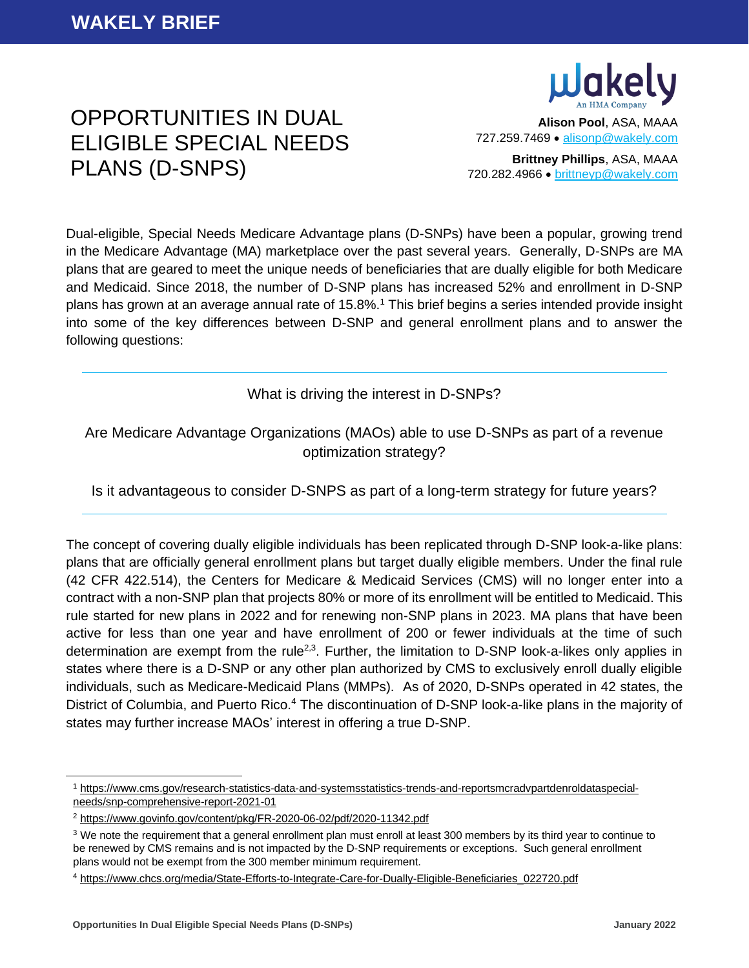

# OPPORTUNITIES IN DUAL ELIGIBLE SPECIAL NEEDS PLANS (D-SNPS)

**Alison Pool**, ASA, MAAA 727.259.7469 • [alisonp@wakely.com](mailto:alisonp@wakely.com)

**Brittney Phillips**, ASA, MAAA 720.282.4966 • [brittneyp@wakely.com](mailto:brittneyp@wakely.com)

Dual-eligible, Special Needs Medicare Advantage plans (D-SNPs) have been a popular, growing trend in the Medicare Advantage (MA) marketplace over the past several years. Generally, D-SNPs are MA plans that are geared to meet the unique needs of beneficiaries that are dually eligible for both Medicare and Medicaid. Since 2018, the number of D-SNP plans has increased 52% and enrollment in D-SNP plans has grown at an average annual rate of 15.8%.<sup>1</sup> This brief begins a series intended provide insight into some of the key differences between D-SNP and general enrollment plans and to answer the following questions:

## What is driving the interest in D-SNPs?

# Are Medicare Advantage Organizations (MAOs) able to use D-SNPs as part of a revenue optimization strategy?

Is it advantageous to consider D-SNPS as part of a long-term strategy for future years?

The concept of covering dually eligible individuals has been replicated through D-SNP look-a-like plans: plans that are officially general enrollment plans but target dually eligible members. Under the final rule (42 CFR 422.514), the Centers for Medicare & Medicaid Services (CMS) will no longer enter into a contract with a non-SNP plan that projects 80% or more of its enrollment will be entitled to Medicaid. This rule started for new plans in 2022 and for renewing non-SNP plans in 2023. MA plans that have been active for less than one year and have enrollment of 200 or fewer individuals at the time of such determination are exempt from the rule<sup>2,3</sup>. Further, the limitation to D-SNP look-a-likes only applies in states where there is a D-SNP or any other plan authorized by CMS to exclusively enroll dually eligible individuals, such as Medicare-Medicaid Plans (MMPs). As of 2020, D-SNPs operated in 42 states, the District of Columbia, and Puerto Rico.<sup>4</sup> The discontinuation of D-SNP look-a-like plans in the majority of states may further increase MAOs' interest in offering a true D-SNP.

<sup>1</sup> [https://www.cms.gov/research-statistics-data-and-systemsstatistics-trends-and-reportsmcradvpartdenroldataspecial](https://www.cms.gov/research-statistics-data-and-systemsstatistics-trends-and-reportsmcradvpartdenroldataspecial-needs/snp-comprehensive-report-2021-01)[needs/snp-comprehensive-report-2021-01](https://www.cms.gov/research-statistics-data-and-systemsstatistics-trends-and-reportsmcradvpartdenroldataspecial-needs/snp-comprehensive-report-2021-01)

<sup>2</sup> <https://www.govinfo.gov/content/pkg/FR-2020-06-02/pdf/2020-11342.pdf>

<sup>&</sup>lt;sup>3</sup> We note the requirement that a general enrollment plan must enroll at least 300 members by its third year to continue to be renewed by CMS remains and is not impacted by the D-SNP requirements or exceptions. Such general enrollment plans would not be exempt from the 300 member minimum requirement.

<sup>4</sup> [https://www.chcs.org/media/State-Efforts-to-Integrate-Care-for-Dually-Eligible-Beneficiaries\\_022720.pdf](https://www.chcs.org/media/State-Efforts-to-Integrate-Care-for-Dually-Eligible-Beneficiaries_022720.pdf)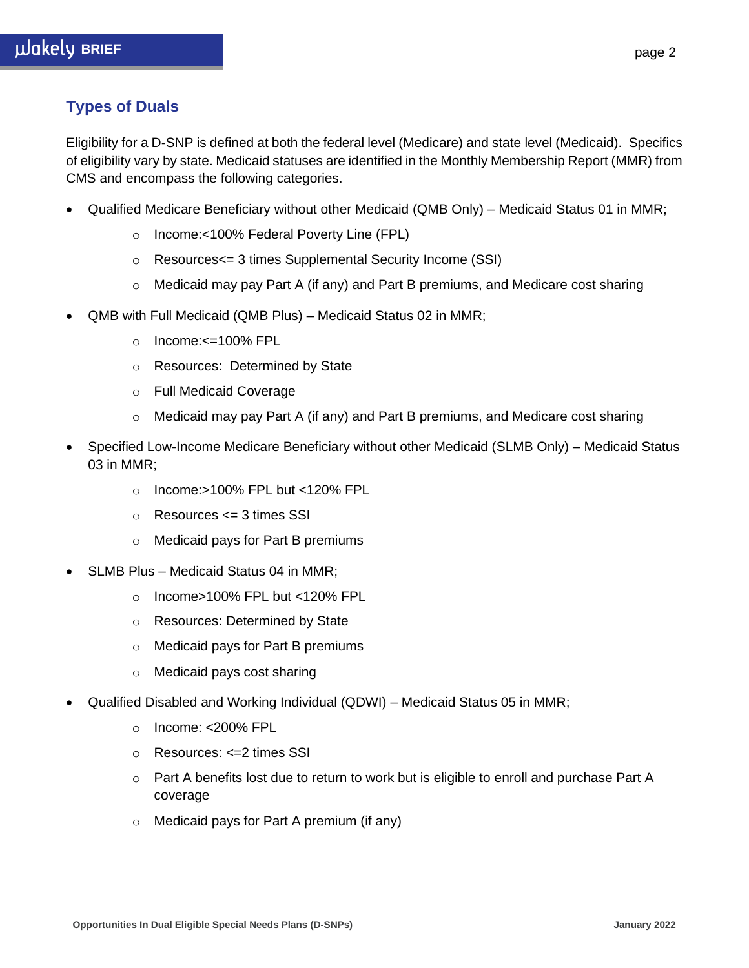# **Types of Duals**

Eligibility for a D-SNP is defined at both the federal level (Medicare) and state level (Medicaid). Specifics of eligibility vary by state. Medicaid statuses are identified in the Monthly Membership Report (MMR) from CMS and encompass the following categories.

- Qualified Medicare Beneficiary without other Medicaid (QMB Only) Medicaid Status 01 in MMR;
	- o Income:<100% Federal Poverty Line (FPL)
	- o Resources<= 3 times Supplemental Security Income (SSI)
	- $\circ$  Medicaid may pay Part A (if any) and Part B premiums, and Medicare cost sharing
- QMB with Full Medicaid (QMB Plus) Medicaid Status 02 in MMR;
	- $\circ$  Income: $\leq$ =100% FPL
	- o Resources: Determined by State
	- o Full Medicaid Coverage
	- o Medicaid may pay Part A (if any) and Part B premiums, and Medicare cost sharing
- Specified Low-Income Medicare Beneficiary without other Medicaid (SLMB Only) Medicaid Status 03 in MMR;
	- o Income:>100% FPL but <120% FPL
	- o Resources <= 3 times SSI
	- o Medicaid pays for Part B premiums
- SLMB Plus Medicaid Status 04 in MMR;
	- o Income>100% FPL but <120% FPL
	- o Resources: Determined by State
	- o Medicaid pays for Part B premiums
	- o Medicaid pays cost sharing
- Qualified Disabled and Working Individual (QDWI) Medicaid Status 05 in MMR;
	- o Income: <200% FPL
	- o Resources: <=2 times SSI
	- $\circ$  Part A benefits lost due to return to work but is eligible to enroll and purchase Part A coverage
	- o Medicaid pays for Part A premium (if any)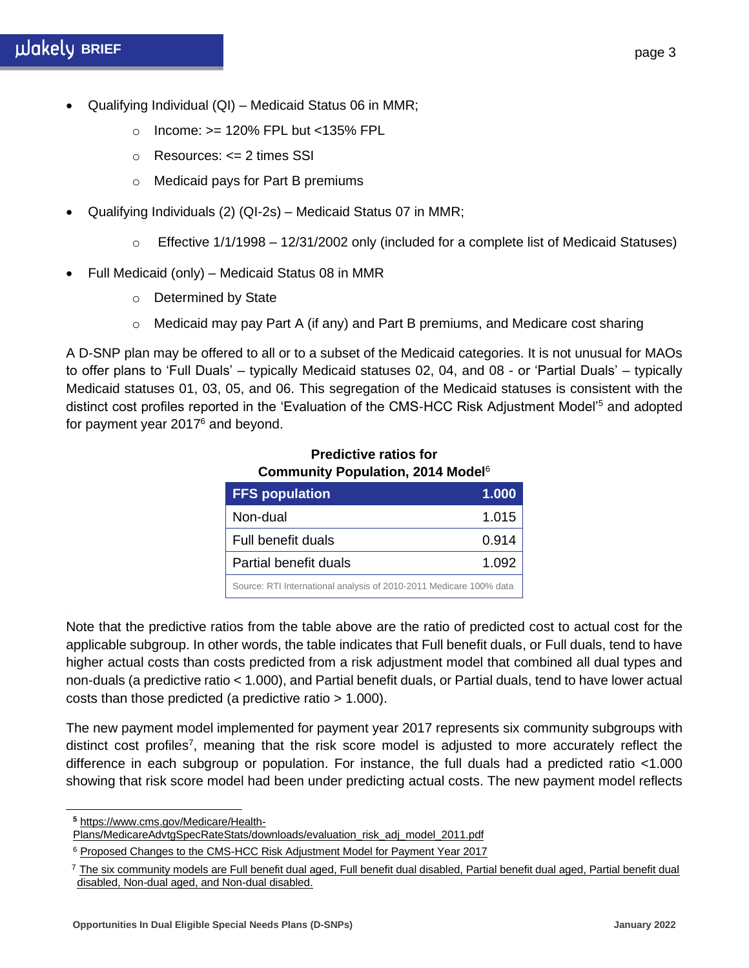- Qualifying Individual (QI) Medicaid Status 06 in MMR;
	- o Income: >= 120% FPL but <135% FPL
	- o Resources: <= 2 times SSI
	- o Medicaid pays for Part B premiums
- Qualifying Individuals (2) (QI-2s) Medicaid Status 07 in MMR;
	- $\circ$  Effective 1/1/1998 12/31/2002 only (included for a complete list of Medicaid Statuses)
- Full Medicaid (only) Medicaid Status 08 in MMR
	- o Determined by State
	- $\circ$  Medicaid may pay Part A (if any) and Part B premiums, and Medicare cost sharing

A D-SNP plan may be offered to all or to a subset of the Medicaid categories. It is not unusual for MAOs to offer plans to 'Full Duals' – typically Medicaid statuses 02, 04, and 08 - or 'Partial Duals' – typically Medicaid statuses 01, 03, 05, and 06. This segregation of the Medicaid statuses is consistent with the distinct cost profiles reported in the 'Evaluation of the CMS-HCC Risk Adjustment Model'<sup>5</sup> and adopted for payment year 2017<sup>6</sup> and beyond.

| <b>FFS population</b>                                              | 1.000 |
|--------------------------------------------------------------------|-------|
| Non-dual                                                           | 1.015 |
| Full benefit duals                                                 | 0.914 |
| Partial benefit duals                                              | 1.092 |
| Source: RTI International analysis of 2010-2011 Medicare 100% data |       |

#### **Predictive ratios for Community Population, 2014 Model**<sup>6</sup>

Note that the predictive ratios from the table above are the ratio of predicted cost to actual cost for the applicable subgroup. In other words, the table indicates that Full benefit duals, or Full duals, tend to have higher actual costs than costs predicted from a risk adjustment model that combined all dual types and non-duals (a predictive ratio < 1.000), and Partial benefit duals, or Partial duals, tend to have lower actual costs than those predicted (a predictive ratio > 1.000).

The new payment model implemented for payment year 2017 represents six community subgroups with distinct cost profiles<sup>7</sup>, meaning that the risk score model is adjusted to more accurately reflect the difference in each subgroup or population. For instance, the full duals had a predicted ratio <1.000 showing that risk score model had been under predicting actual costs. The new payment model reflects

**<sup>5</sup>** [https://www.cms.gov/Medicare/Health-](https://www.cms.gov/Medicare/Health-Plans/MedicareAdvtgSpecRateStats/downloads/evaluation_risk_adj_model_2011.pdf)

[Plans/MedicareAdvtgSpecRateStats/downloads/evaluation\\_risk\\_adj\\_model\\_2011.pdf](https://www.cms.gov/Medicare/Health-Plans/MedicareAdvtgSpecRateStats/downloads/evaluation_risk_adj_model_2011.pdf)

<sup>&</sup>lt;sup>6</sup> [Proposed Changes to the CMS-HCC Risk Adjustment Model for Payment Year 2017](https://www.cms.gov/Medicare/Health-Plans/MedicareAdvtgSpecRateStats/Downloads/RiskAdj2017ProposedChanges.pdf)

 $^7$  The six community models are Full benefit dual aged, Full benefit dual disabled, Partial benefit dual aged, Partial benefit dual disabled, Non-dual aged, and Non-dual disabled.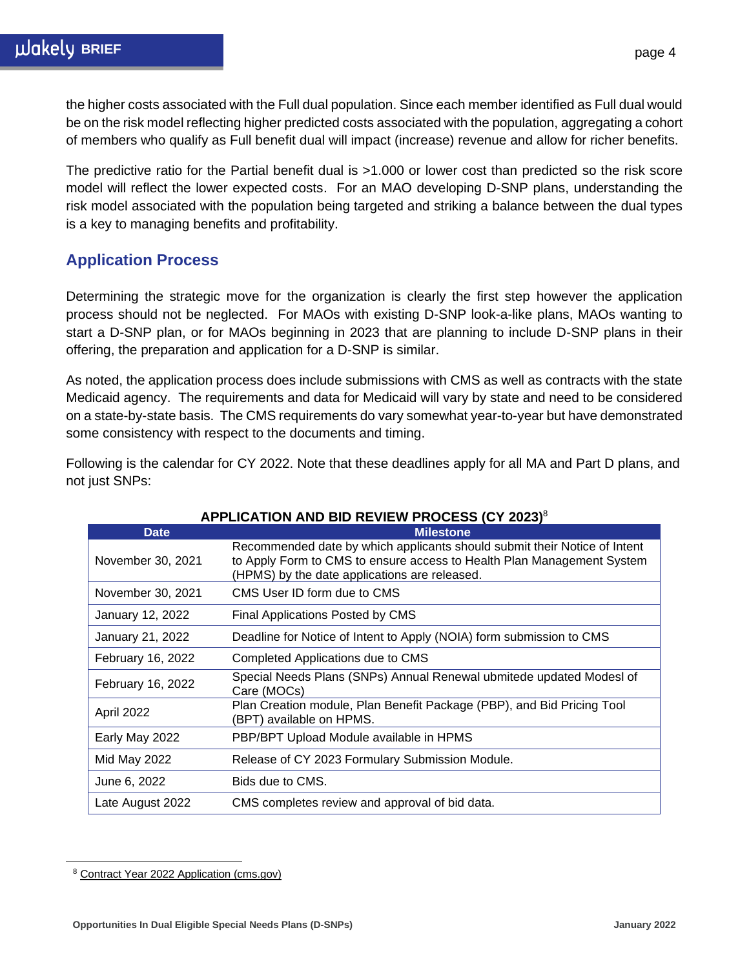the higher costs associated with the Full dual population. Since each member identified as Full dual would be on the risk model reflecting higher predicted costs associated with the population, aggregating a cohort of members who qualify as Full benefit dual will impact (increase) revenue and allow for richer benefits.

The predictive ratio for the Partial benefit dual is >1.000 or lower cost than predicted so the risk score model will reflect the lower expected costs. For an MAO developing D-SNP plans, understanding the risk model associated with the population being targeted and striking a balance between the dual types is a key to managing benefits and profitability.

# **Application Process**

Determining the strategic move for the organization is clearly the first step however the application process should not be neglected. For MAOs with existing D-SNP look-a-like plans, MAOs wanting to start a D-SNP plan, or for MAOs beginning in 2023 that are planning to include D-SNP plans in their offering, the preparation and application for a D-SNP is similar.

As noted, the application process does include submissions with CMS as well as contracts with the state Medicaid agency. The requirements and data for Medicaid will vary by state and need to be considered on a state-by-state basis. The CMS requirements do vary somewhat year-to-year but have demonstrated some consistency with respect to the documents and timing.

Following is the calendar for CY 2022. Note that these deadlines apply for all MA and Part D plans, and not just SNPs:

| <b>Date</b>         | <b>Milestone</b>                                                                                                                                                                                     |
|---------------------|------------------------------------------------------------------------------------------------------------------------------------------------------------------------------------------------------|
| November 30, 2021   | Recommended date by which applicants should submit their Notice of Intent<br>to Apply Form to CMS to ensure access to Health Plan Management System<br>(HPMS) by the date applications are released. |
| November 30, 2021   | CMS User ID form due to CMS                                                                                                                                                                          |
| January 12, 2022    | Final Applications Posted by CMS                                                                                                                                                                     |
| January 21, 2022    | Deadline for Notice of Intent to Apply (NOIA) form submission to CMS                                                                                                                                 |
| February 16, 2022   | Completed Applications due to CMS                                                                                                                                                                    |
| February 16, 2022   | Special Needs Plans (SNPs) Annual Renewal ubmitede updated Modesl of<br>Care (MOCs)                                                                                                                  |
| April 2022          | Plan Creation module, Plan Benefit Package (PBP), and Bid Pricing Tool<br>(BPT) available on HPMS.                                                                                                   |
| Early May 2022      | PBP/BPT Upload Module available in HPMS                                                                                                                                                              |
| <b>Mid May 2022</b> | Release of CY 2023 Formulary Submission Module.                                                                                                                                                      |
| June 6, 2022        | Bids due to CMS.                                                                                                                                                                                     |
| Late August 2022    | CMS completes review and approval of bid data.                                                                                                                                                       |

### **APPLICATION AND BID REVIEW PROCESS (CY 2023)** 8

<sup>8</sup> [Contract Year 2022 Application \(cms.gov\)](https://www.cms.gov/files/document/cy-2022-medicare-part-c-application-updated-1-12-2021.pdf)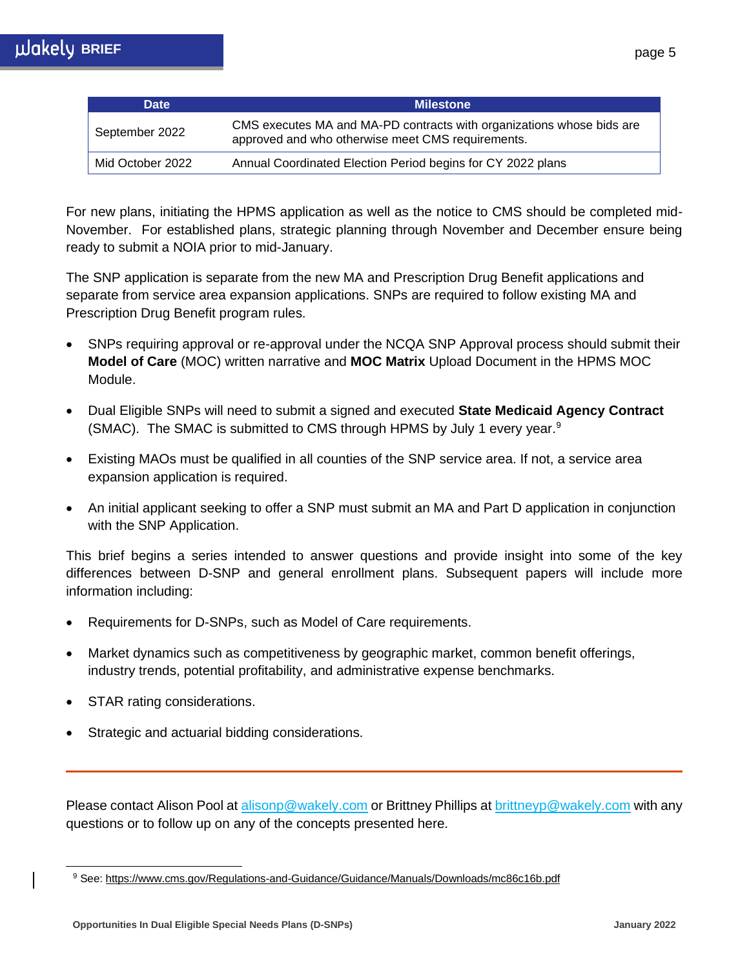| <b>Date</b>      | <b>Milestone</b>                                                                                                           |
|------------------|----------------------------------------------------------------------------------------------------------------------------|
| September 2022   | CMS executes MA and MA-PD contracts with organizations whose bids are<br>approved and who otherwise meet CMS requirements. |
| Mid October 2022 | Annual Coordinated Election Period begins for CY 2022 plans                                                                |

For new plans, initiating the HPMS application as well as the notice to CMS should be completed mid-November. For established plans, strategic planning through November and December ensure being ready to submit a NOIA prior to mid-January.

The SNP application is separate from the new MA and Prescription Drug Benefit applications and separate from service area expansion applications. SNPs are required to follow existing MA and Prescription Drug Benefit program rules.

- SNPs requiring approval or re-approval under the NCQA SNP Approval process should submit their **Model of Care** (MOC) written narrative and **MOC Matrix** Upload Document in the HPMS MOC Module.
- Dual Eligible SNPs will need to submit a signed and executed **State Medicaid Agency Contract** (SMAC). The SMAC is submitted to CMS through HPMS by July 1 every year.<sup>9</sup>
- Existing MAOs must be qualified in all counties of the SNP service area. If not, a service area expansion application is required.
- An initial applicant seeking to offer a SNP must submit an MA and Part D application in conjunction with the SNP Application.

This brief begins a series intended to answer questions and provide insight into some of the key differences between D-SNP and general enrollment plans. Subsequent papers will include more information including:

- Requirements for D-SNPs, such as Model of Care requirements.
- Market dynamics such as competitiveness by geographic market, common benefit offerings, industry trends, potential profitability, and administrative expense benchmarks.
- STAR rating considerations.
- Strategic and actuarial bidding considerations.

Please contact Alison Pool at alisonp@wakely.com or Brittney Phillips at [brittneyp@wakely.com](mailto:brittneyp@wakely.com) with any questions or to follow up on any of the concepts presented here.

<sup>9</sup> See:<https://www.cms.gov/Regulations-and-Guidance/Guidance/Manuals/Downloads/mc86c16b.pdf>